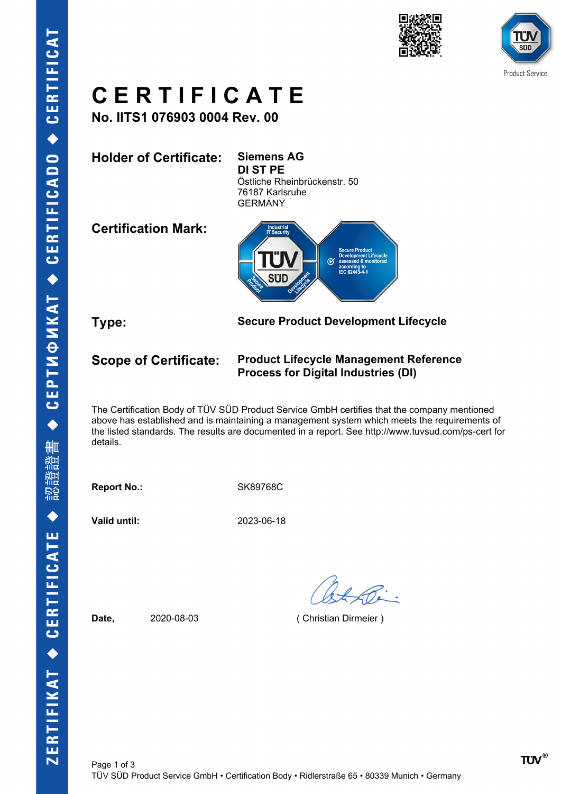





## **C E R T I F I C A T E**

**No. IITS1 076903 0004 Rev. 00**

**Holder of Certificate: Siemens AG DI ST PE** Östliche Rheinbrückenstr. 50 76187 Karlsruhe GERMANY

**Certification Mark:**



**Type: Secure Product Development Lifecycle**

## **Scope of Certificate: Product Lifecycle Management Reference Process for Digital Industries (DI)**

The Certification Body of TÜV SÜD Product Service GmbH certifies that the company mentioned above has established and is maintaining a management system which meets the requirements of the listed standards. The results are documented in a report. See http://www.tuvsud.com/ps-cert for details.

**Report No.:** SK89768C

**Valid until:** 2023-06-18

**Date,** 2020-08-03 ( Christian Dirmeier )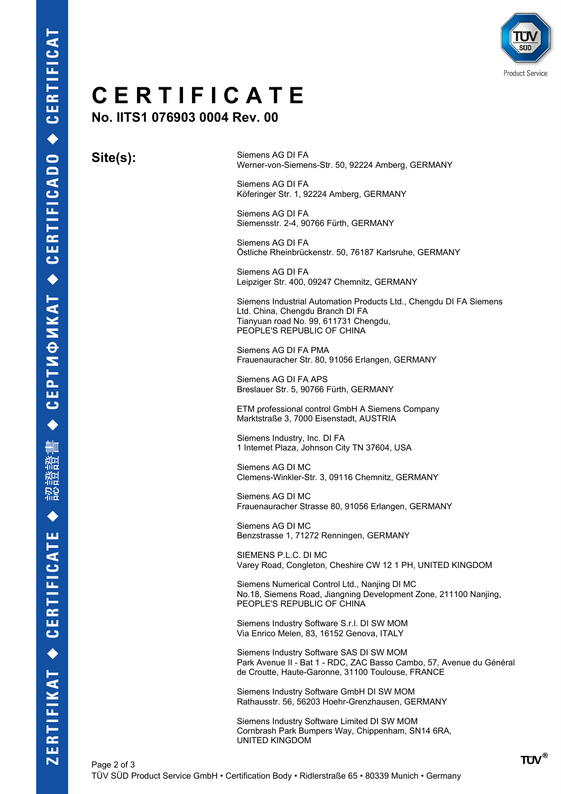

## **C E R T I F I C A T E**

**No. IITS1 076903 0004 Rev. 00**

**Site(s):** Siemens AG DI FA Werner-von-Siemens-Str. 50, 92224 Amberg, GERMANY

> Siemens AG DI FA Köferinger Str. 1, 92224 Amberg, GERMANY

Siemens AG DI FA Siemensstr. 2-4, 90766 Fürth, GERMANY

Siemens AG DI FA Östliche Rheinbrückenstr. 50, 76187 Karlsruhe, GERMANY

Siemens AG DI FA Leipziger Str. 400, 09247 Chemnitz, GERMANY

Siemens Industrial Automation Products Ltd., Chengdu DI FA Siemens Ltd. China, Chengdu Branch DI FA Tianyuan road No. 99, 611731 Chengdu, PEOPLE'S REPUBLIC OF CHINA

Siemens AG DI FA PMA Frauenauracher Str. 80, 91056 Erlangen, GERMANY

Siemens AG DI FA APS Breslauer Str. 5, 90766 Fürth, GERMANY

ETM professional control GmbH A Siemens Company Marktstraße 3, 7000 Eisenstadt, AUSTRIA

Siemens Industry, Inc. DI FA 1 Internet Plaza, Johnson City TN 37604, USA

Siemens AG DI MC Clemens-Winkler-Str. 3, 09116 Chemnitz, GERMANY

Siemens AG DI MC Frauenauracher Strasse 80, 91056 Erlangen, GERMANY

Siemens AG DI MC Benzstrasse 1, 71272 Renningen, GERMANY

SIEMENS P.L.C. DI MC Varey Road, Congleton, Cheshire CW 12 1 PH, UNITED KINGDOM

Siemens Numerical Control Ltd., Nanjing DI MC No.18, Siemens Road, Jiangning Development Zone, 211100 Nanjing, PEOPLE'S REPUBLIC OF CHINA

Siemens Industry Software S.r.l. DI SW MOM Via Enrico Melen, 83, 16152 Genova, ITALY

Siemens Industry Software SAS DI SW MOM Park Avenue II - Bat 1 - RDC, ZAC Basso Cambo, 57, Avenue du Général de Croutte, Haute-Garonne, 31100 Toulouse, FRANCE

Siemens Industry Software GmbH DI SW MOM Rathausstr. 56, 56203 Hoehr-Grenzhausen, GERMANY

Siemens Industry Software Limited DI SW MOM Cornbrash Park Bumpers Way, Chippenham, SN14 6RA, UNITED KINGDOM